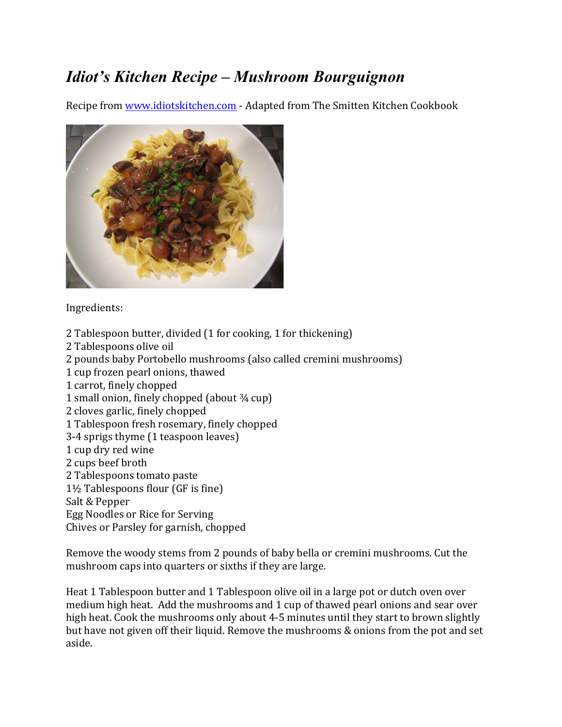## *Idiot's Kitchen Recipe – Mushroom Bourguignon*

Recipe from www.idiotskitchen.com - Adapted from The Smitten Kitchen Cookbook



Ingredients:

- 2 Tablespoon butter, divided (1 for cooking, 1 for thickening)
- 2 Tablespoons olive oil
- 2 pounds baby Portobello mushrooms (also called cremini mushrooms)
- 1 cup frozen pearl onions, thawed
- 1 carrot, finely chopped
- 1 small onion, finely chopped (about  $\frac{3}{4}$  cup)
- 2 cloves garlic, finely chopped
- 1 Tablespoon fresh rosemary, finely chopped
- 3-4 sprigs thyme (1 teaspoon leaves)
- 1 cup dry red wine
- 2 cups beef broth
- 2 Tablespoons tomato paste
- $1\frac{1}{2}$  Tablespoons flour (GF is fine)
- Salt & Pepper
- Egg Noodles or Rice for Serving
- Chives or Parsley for garnish, chopped

Remove the woody stems from 2 pounds of baby bella or cremini mushrooms. Cut the mushroom caps into quarters or sixths if they are large.

Heat 1 Tablespoon butter and 1 Tablespoon olive oil in a large pot or dutch oven over medium high heat. Add the mushrooms and 1 cup of thawed pearl onions and sear over high heat. Cook the mushrooms only about 4-5 minutes until they start to brown slightly but have not given off their liquid. Remove the mushrooms & onions from the pot and set aside.